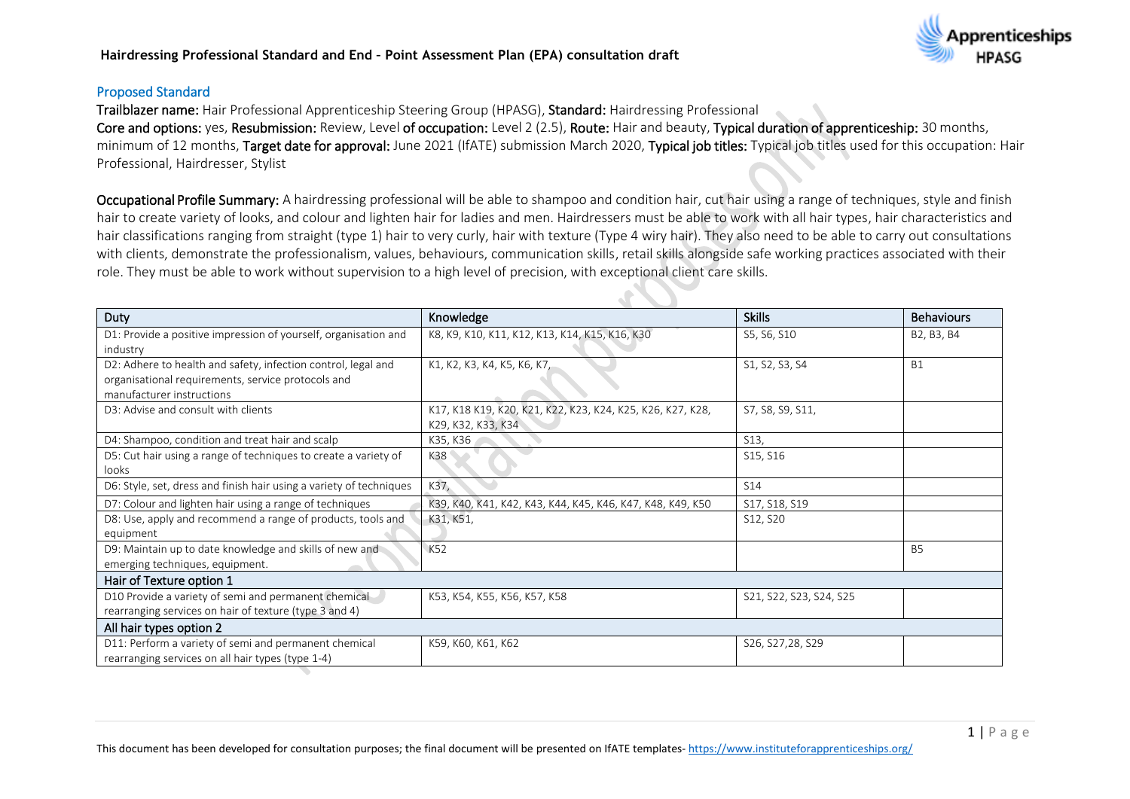

#### Proposed Standard

Trailblazer name: Hair Professional Apprenticeship Steering Group (HPASG), Standard: Hairdressing Professional

Core and options: yes, Resubmission: Review, Level of occupation: Level 2 (2.5), Route: Hair and beauty, Typical duration of apprenticeship: 30 months, minimum of 12 months, Target date for approval: June 2021 (IfATE) submission March 2020, Typical job titles: Typical job titles used for this occupation: Hair Professional, Hairdresser, Stylist

Occupational Profile Summary: A hairdressing professional will be able to shampoo and condition hair, cut hair using a range of techniques, style and finish hair to create variety of looks, and colour and lighten hair for ladies and men. Hairdressers must be able to work with all hair types, hair characteristics and hair classifications ranging from straight (type 1) hair to very curly, hair with texture (Type 4 wiry hair). They also need to be able to carry out consultations with clients, demonstrate the professionalism, values, behaviours, communication skills, retail skills alongside safe working practices associated with their role. They must be able to work without supervision to a high level of precision, with exceptional client care skills.

| Duty                                                                | Knowledge                                                  | <b>Skills</b>           | <b>Behaviours</b> |  |  |  |
|---------------------------------------------------------------------|------------------------------------------------------------|-------------------------|-------------------|--|--|--|
| D1: Provide a positive impression of yourself, organisation and     | K8, K9, K10, K11, K12, K13, K14, K15, K16, K30             | S5, S6, S10             | B2, B3, B4        |  |  |  |
| industry                                                            |                                                            |                         |                   |  |  |  |
| D2: Adhere to health and safety, infection control, legal and       | K1, K2, K3, K4, K5, K6, K7,                                | S1, S2, S3, S4          | <b>B1</b>         |  |  |  |
| organisational requirements, service protocols and                  |                                                            |                         |                   |  |  |  |
| manufacturer instructions                                           |                                                            |                         |                   |  |  |  |
| D3: Advise and consult with clients                                 | K17, K18 K19, K20, K21, K22, K23, K24, K25, K26, K27, K28, | S7, S8, S9, S11,        |                   |  |  |  |
|                                                                     | K29, K32, K33, K34                                         |                         |                   |  |  |  |
| D4: Shampoo, condition and treat hair and scalp                     | K35, K36                                                   | S13,                    |                   |  |  |  |
| D5: Cut hair using a range of techniques to create a variety of     | K38                                                        | S15, S16                |                   |  |  |  |
| looks                                                               |                                                            |                         |                   |  |  |  |
| D6: Style, set, dress and finish hair using a variety of techniques | K37,                                                       | S14                     |                   |  |  |  |
| D7: Colour and lighten hair using a range of techniques             | K39, K40, K41, K42, K43, K44, K45, K46, K47, K48, K49, K50 | S17, S18, S19           |                   |  |  |  |
| D8: Use, apply and recommend a range of products, tools and         | K31, K51,                                                  | S12, S20                |                   |  |  |  |
| equipment                                                           |                                                            |                         |                   |  |  |  |
| D9: Maintain up to date knowledge and skills of new and             | K52                                                        |                         | <b>B5</b>         |  |  |  |
| emerging techniques, equipment.                                     |                                                            |                         |                   |  |  |  |
| Hair of Texture option 1                                            |                                                            |                         |                   |  |  |  |
| D10 Provide a variety of semi and permanent chemical                | K53, K54, K55, K56, K57, K58                               | S21, S22, S23, S24, S25 |                   |  |  |  |
| rearranging services on hair of texture (type 3 and 4)              |                                                            |                         |                   |  |  |  |
| All hair types option 2                                             |                                                            |                         |                   |  |  |  |
| D11: Perform a variety of semi and permanent chemical               | K59, K60, K61, K62                                         | S26, S27, 28, S29       |                   |  |  |  |
| rearranging services on all hair types (type 1-4)                   |                                                            |                         |                   |  |  |  |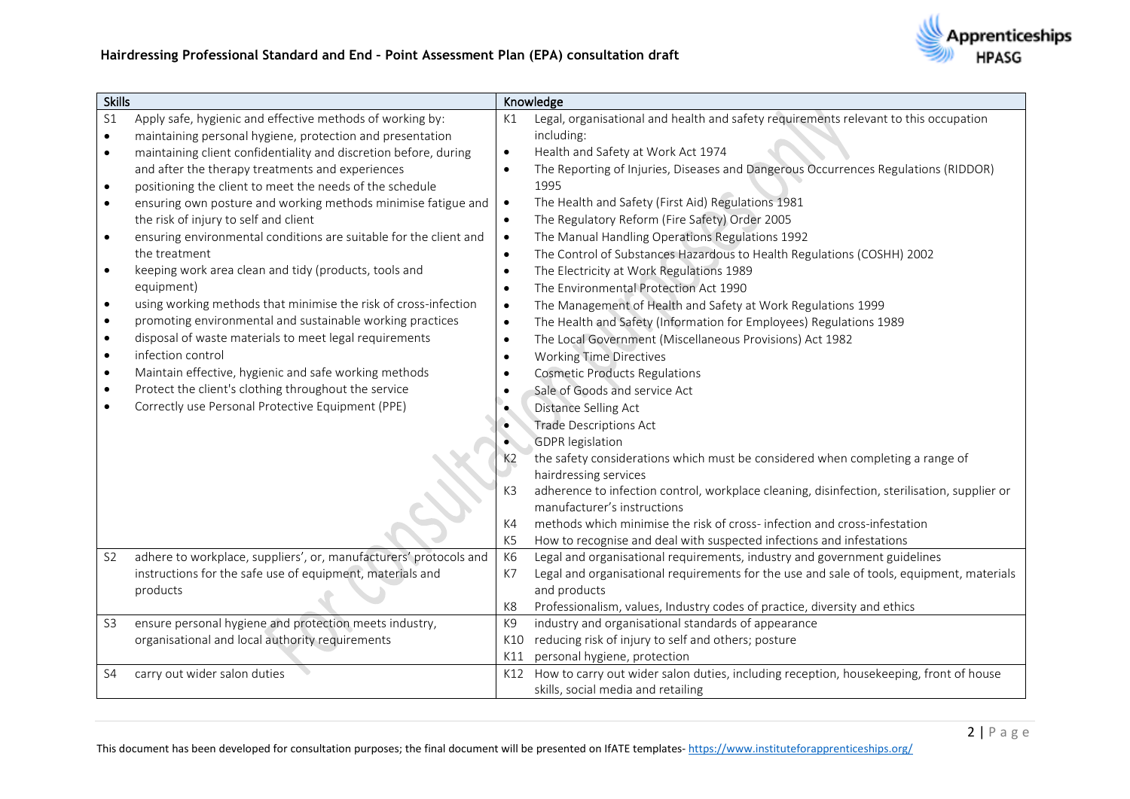

| <b>Skills</b>  |                                                                   |                | Knowledge                                                                                    |
|----------------|-------------------------------------------------------------------|----------------|----------------------------------------------------------------------------------------------|
| S <sub>1</sub> | Apply safe, hygienic and effective methods of working by:         | K1             | Legal, organisational and health and safety requirements relevant to this occupation         |
| $\bullet$      | maintaining personal hygiene, protection and presentation         |                | including:                                                                                   |
| $\bullet$      | maintaining client confidentiality and discretion before, during  | $\bullet$      | Health and Safety at Work Act 1974                                                           |
|                | and after the therapy treatments and experiences                  | $\bullet$      | The Reporting of Injuries, Diseases and Dangerous Occurrences Regulations (RIDDOR)           |
| $\bullet$      | positioning the client to meet the needs of the schedule          |                | 1995                                                                                         |
| $\bullet$      | ensuring own posture and working methods minimise fatigue and     | $\bullet$      | The Health and Safety (First Aid) Regulations 1981                                           |
|                | the risk of injury to self and client                             | $\bullet$      | The Regulatory Reform (Fire Safety) Order 2005                                               |
| $\bullet$      | ensuring environmental conditions are suitable for the client and | $\bullet$      | The Manual Handling Operations Regulations 1992                                              |
|                | the treatment                                                     | $\bullet$      | The Control of Substances Hazardous to Health Regulations (COSHH) 2002                       |
| $\bullet$      | keeping work area clean and tidy (products, tools and             | $\bullet$      | The Electricity at Work Regulations 1989                                                     |
|                | equipment)                                                        | $\bullet$      | The Environmental Protection Act 1990                                                        |
| $\bullet$      | using working methods that minimise the risk of cross-infection   | $\bullet$      | The Management of Health and Safety at Work Regulations 1999                                 |
| $\bullet$      | promoting environmental and sustainable working practices         | $\bullet$      | The Health and Safety (Information for Employees) Regulations 1989                           |
| $\bullet$      | disposal of waste materials to meet legal requirements            | $\bullet$      | The Local Government (Miscellaneous Provisions) Act 1982                                     |
| $\bullet$      | infection control                                                 | $\bullet$      | <b>Working Time Directives</b>                                                               |
| $\bullet$      | Maintain effective, hygienic and safe working methods             | $\bullet$      | <b>Cosmetic Products Regulations</b>                                                         |
| $\bullet$      | Protect the client's clothing throughout the service              | $\bullet$      | Sale of Goods and service Act                                                                |
|                | Correctly use Personal Protective Equipment (PPE)                 |                | Distance Selling Act                                                                         |
|                |                                                                   | $\bullet$      | <b>Trade Descriptions Act</b>                                                                |
|                |                                                                   |                | <b>GDPR</b> legislation                                                                      |
|                |                                                                   | K <sub>2</sub> | the safety considerations which must be considered when completing a range of                |
|                |                                                                   |                | hairdressing services                                                                        |
|                |                                                                   | K <sub>3</sub> | adherence to infection control, workplace cleaning, disinfection, sterilisation, supplier or |
|                |                                                                   |                | manufacturer's instructions                                                                  |
|                |                                                                   | K4             | methods which minimise the risk of cross-infection and cross-infestation                     |
|                |                                                                   | K <sub>5</sub> | How to recognise and deal with suspected infections and infestations                         |
| S <sub>2</sub> | adhere to workplace, suppliers', or, manufacturers' protocols and | K <sub>6</sub> | Legal and organisational requirements, industry and government guidelines                    |
|                | instructions for the safe use of equipment, materials and         | K7             | Legal and organisational requirements for the use and sale of tools, equipment, materials    |
|                | products                                                          |                | and products                                                                                 |
|                |                                                                   | K8             | Professionalism, values, Industry codes of practice, diversity and ethics                    |
| S <sub>3</sub> | ensure personal hygiene and protection meets industry,            | K9             | industry and organisational standards of appearance                                          |
|                | organisational and local authority requirements                   | K10            | reducing risk of injury to self and others; posture                                          |
|                |                                                                   | K11            | personal hygiene, protection                                                                 |
| S4             | carry out wider salon duties                                      | K12            | How to carry out wider salon duties, including reception, housekeeping, front of house       |
|                |                                                                   |                | skills, social media and retailing                                                           |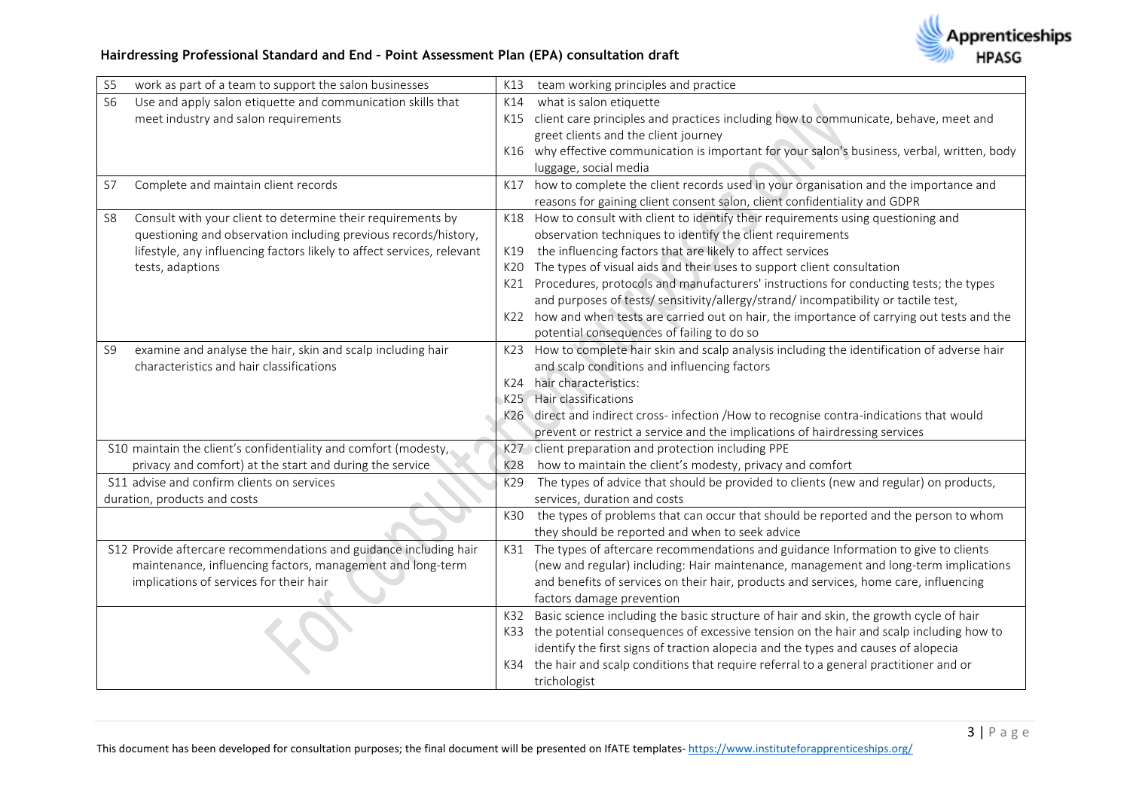| S <sub>5</sub> | work as part of a team to support the salon businesses                 |     | K13 team working principles and practice                                                      |
|----------------|------------------------------------------------------------------------|-----|-----------------------------------------------------------------------------------------------|
| <b>S6</b>      | Use and apply salon etiquette and communication skills that            | K14 | what is salon etiquette                                                                       |
|                | meet industry and salon requirements                                   |     | K15 client care principles and practices including how to communicate, behave, meet and       |
|                |                                                                        |     | greet clients and the client journey                                                          |
|                |                                                                        |     | K16 why effective communication is important for your salon's business, verbal, written, body |
|                |                                                                        |     | luggage, social media                                                                         |
| S7             | Complete and maintain client records                                   |     | K17 how to complete the client records used in your organisation and the importance and       |
|                |                                                                        |     | reasons for gaining client consent salon, client confidentiality and GDPR                     |
| S <sub>8</sub> | Consult with your client to determine their requirements by            |     | K18 How to consult with client to identify their requirements using questioning and           |
|                | questioning and observation including previous records/history,        |     | observation techniques to identify the client requirements                                    |
|                | lifestyle, any influencing factors likely to affect services, relevant | K19 | the influencing factors that are likely to affect services                                    |
|                | tests, adaptions                                                       | K20 | The types of visual aids and their uses to support client consultation                        |
|                |                                                                        |     | K21 Procedures, protocols and manufacturers' instructions for conducting tests; the types     |
|                |                                                                        |     | and purposes of tests/ sensitivity/allergy/strand/ incompatibility or tactile test,           |
|                |                                                                        |     | K22 how and when tests are carried out on hair, the importance of carrying out tests and the  |
|                |                                                                        |     | potential consequences of failing to do so                                                    |
| S9             | examine and analyse the hair, skin and scalp including hair            |     | K23 How to complete hair skin and scalp analysis including the identification of adverse hair |
|                | characteristics and hair classifications                               |     | and scalp conditions and influencing factors                                                  |
|                |                                                                        | K24 | hair characteristics:                                                                         |
|                |                                                                        |     | K25 Hair classifications                                                                      |
|                |                                                                        |     | K26 direct and indirect cross-infection /How to recognise contra-indications that would       |
|                |                                                                        |     | prevent or restrict a service and the implications of hairdressing services                   |
|                | S10 maintain the client's confidentiality and comfort (modesty,        |     | K27 client preparation and protection including PPE                                           |
|                | privacy and comfort) at the start and during the service               | K28 | how to maintain the client's modesty, privacy and comfort                                     |
|                | S11 advise and confirm clients on services                             | K29 | The types of advice that should be provided to clients (new and regular) on products,         |
|                | duration, products and costs                                           |     | services, duration and costs                                                                  |
|                |                                                                        | K30 | the types of problems that can occur that should be reported and the person to whom           |
|                |                                                                        |     | they should be reported and when to seek advice                                               |
|                | S12 Provide aftercare recommendations and guidance including hair      |     | K31 The types of aftercare recommendations and guidance Information to give to clients        |
|                | maintenance, influencing factors, management and long-term             |     | (new and regular) including: Hair maintenance, management and long-term implications          |
|                | implications of services for their hair                                |     | and benefits of services on their hair, products and services, home care, influencing         |
|                |                                                                        |     | factors damage prevention                                                                     |
|                |                                                                        |     | K32 Basic science including the basic structure of hair and skin, the growth cycle of hair    |
|                |                                                                        |     | K33 the potential consequences of excessive tension on the hair and scalp including how to    |
|                |                                                                        |     | identify the first signs of traction alopecia and the types and causes of alopecia            |
|                |                                                                        | K34 | the hair and scalp conditions that require referral to a general practitioner and or          |
|                |                                                                        |     | trichologist                                                                                  |

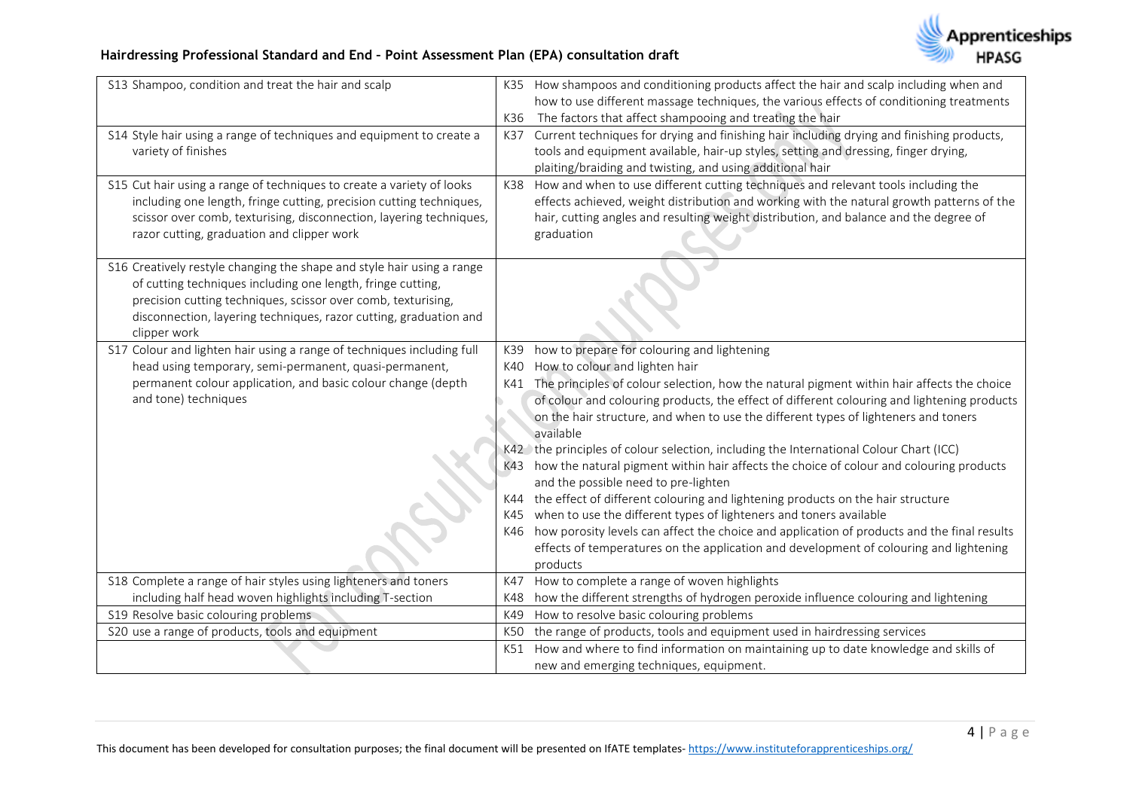

| S13 Shampoo, condition and treat the hair and scalp                    |     | K35 How shampoos and conditioning products affect the hair and scalp including when and<br>how to use different massage techniques, the various effects of conditioning treatments |
|------------------------------------------------------------------------|-----|------------------------------------------------------------------------------------------------------------------------------------------------------------------------------------|
|                                                                        | K36 | The factors that affect shampooing and treating the hair                                                                                                                           |
| S14 Style hair using a range of techniques and equipment to create a   |     | K37 Current techniques for drying and finishing hair including drying and finishing products,                                                                                      |
| variety of finishes                                                    |     | tools and equipment available, hair-up styles, setting and dressing, finger drying,                                                                                                |
|                                                                        |     | plaiting/braiding and twisting, and using additional hair                                                                                                                          |
| S15 Cut hair using a range of techniques to create a variety of looks  |     | K38 How and when to use different cutting techniques and relevant tools including the                                                                                              |
| including one length, fringe cutting, precision cutting techniques,    |     | effects achieved, weight distribution and working with the natural growth patterns of the                                                                                          |
| scissor over comb, texturising, disconnection, layering techniques,    |     | hair, cutting angles and resulting weight distribution, and balance and the degree of                                                                                              |
| razor cutting, graduation and clipper work                             |     | graduation                                                                                                                                                                         |
| S16 Creatively restyle changing the shape and style hair using a range |     |                                                                                                                                                                                    |
| of cutting techniques including one length, fringe cutting,            |     |                                                                                                                                                                                    |
| precision cutting techniques, scissor over comb, texturising,          |     |                                                                                                                                                                                    |
| disconnection, layering techniques, razor cutting, graduation and      |     |                                                                                                                                                                                    |
| clipper work                                                           |     |                                                                                                                                                                                    |
| S17 Colour and lighten hair using a range of techniques including full | K39 | how to prepare for colouring and lightening                                                                                                                                        |
| head using temporary, semi-permanent, quasi-permanent,                 | K40 | How to colour and lighten hair                                                                                                                                                     |
| permanent colour application, and basic colour change (depth           | K41 | The principles of colour selection, how the natural pigment within hair affects the choice                                                                                         |
| and tone) techniques                                                   |     | of colour and colouring products, the effect of different colouring and lightening products                                                                                        |
|                                                                        |     | on the hair structure, and when to use the different types of lighteners and toners                                                                                                |
|                                                                        |     | available                                                                                                                                                                          |
|                                                                        |     | K42 the principles of colour selection, including the International Colour Chart (ICC)                                                                                             |
|                                                                        |     | K43 how the natural pigment within hair affects the choice of colour and colouring products                                                                                        |
|                                                                        |     | and the possible need to pre-lighten                                                                                                                                               |
|                                                                        |     | K44 the effect of different colouring and lightening products on the hair structure                                                                                                |
|                                                                        | K45 | when to use the different types of lighteners and toners available                                                                                                                 |
|                                                                        |     | K46 how porosity levels can affect the choice and application of products and the final results                                                                                    |
|                                                                        |     | effects of temperatures on the application and development of colouring and lightening                                                                                             |
|                                                                        |     | products                                                                                                                                                                           |
| S18 Complete a range of hair styles using lighteners and toners        | K47 | How to complete a range of woven highlights                                                                                                                                        |
| including half head woven highlights including T-section               | K48 | how the different strengths of hydrogen peroxide influence colouring and lightening                                                                                                |
| S19 Resolve basic colouring problems                                   | K49 | How to resolve basic colouring problems                                                                                                                                            |
| S20 use a range of products, tools and equipment                       | K50 | the range of products, tools and equipment used in hairdressing services                                                                                                           |
|                                                                        | K51 | How and where to find information on maintaining up to date knowledge and skills of                                                                                                |
|                                                                        |     | new and emerging techniques, equipment.                                                                                                                                            |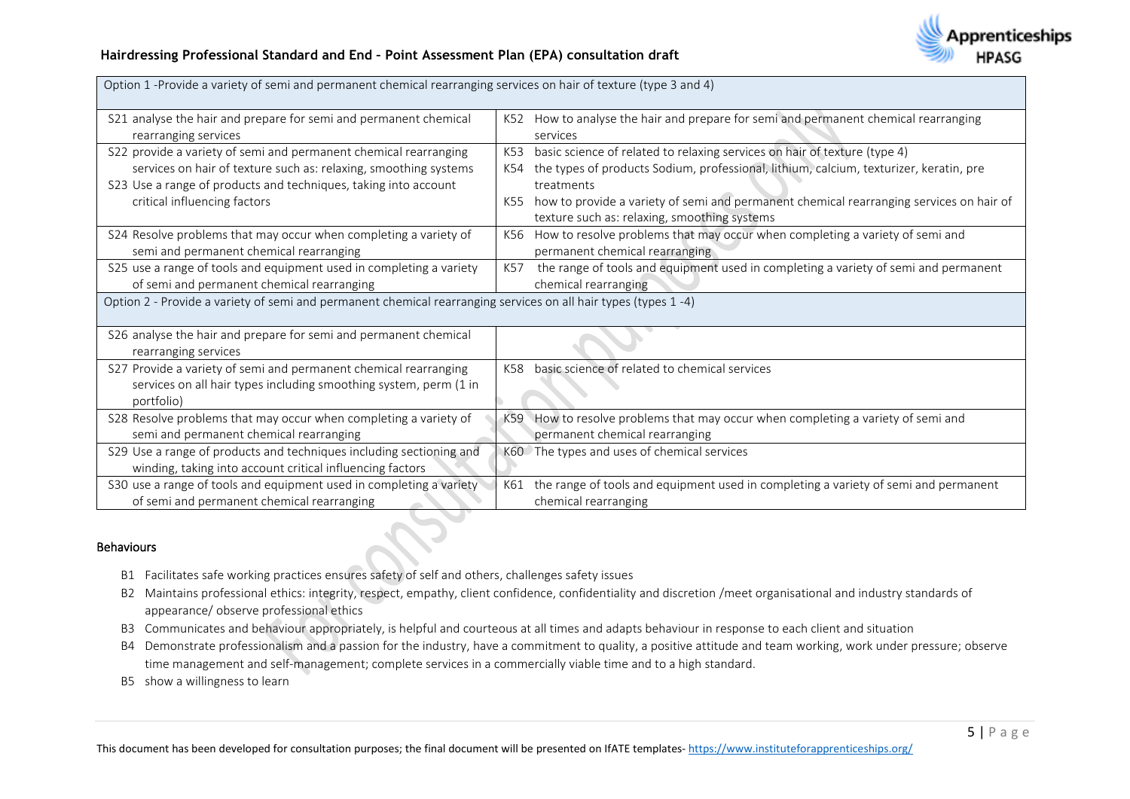

| Option 1 -Provide a variety of semi and permanent chemical rearranging services on hair of texture (type 3 and 4)                                   |     |                                                                                            |
|-----------------------------------------------------------------------------------------------------------------------------------------------------|-----|--------------------------------------------------------------------------------------------|
| S21 analyse the hair and prepare for semi and permanent chemical                                                                                    |     | K52 How to analyse the hair and prepare for semi and permanent chemical rearranging        |
| rearranging services                                                                                                                                |     | services                                                                                   |
| S22 provide a variety of semi and permanent chemical rearranging                                                                                    | K53 | basic science of related to relaxing services on hair of texture (type 4)                  |
| services on hair of texture such as: relaxing, smoothing systems                                                                                    |     | K54 the types of products Sodium, professional, lithium, calcium, texturizer, keratin, pre |
| S23 Use a range of products and techniques, taking into account                                                                                     |     | treatments                                                                                 |
| critical influencing factors                                                                                                                        | K55 | how to provide a variety of semi and permanent chemical rearranging services on hair of    |
|                                                                                                                                                     |     | texture such as: relaxing, smoothing systems                                               |
| S24 Resolve problems that may occur when completing a variety of                                                                                    |     | K56 How to resolve problems that may occur when completing a variety of semi and           |
| semi and permanent chemical rearranging                                                                                                             |     | permanent chemical rearranging                                                             |
| S25 use a range of tools and equipment used in completing a variety                                                                                 | K57 | the range of tools and equipment used in completing a variety of semi and permanent        |
| of semi and permanent chemical rearranging                                                                                                          |     | chemical rearranging                                                                       |
| Option 2 - Provide a variety of semi and permanent chemical rearranging services on all hair types (types 1-4)                                      |     |                                                                                            |
| S26 analyse the hair and prepare for semi and permanent chemical<br>rearranging services                                                            |     |                                                                                            |
| S27 Provide a variety of semi and permanent chemical rearranging<br>services on all hair types including smoothing system, perm (1 in<br>portfolio) | K58 | basic science of related to chemical services                                              |
| S28 Resolve problems that may occur when completing a variety of                                                                                    |     | K59 How to resolve problems that may occur when completing a variety of semi and           |
| semi and permanent chemical rearranging                                                                                                             |     | permanent chemical rearranging                                                             |
| S29 Use a range of products and techniques including sectioning and                                                                                 |     | K60 The types and uses of chemical services                                                |
| winding, taking into account critical influencing factors                                                                                           |     |                                                                                            |
| S30 use a range of tools and equipment used in completing a variety                                                                                 | K61 | the range of tools and equipment used in completing a variety of semi and permanent        |
| of semi and permanent chemical rearranging                                                                                                          |     | chemical rearranging                                                                       |

#### Behaviours

- B1 Facilitates safe working practices ensures safety of self and others, challenges safety issues
- B2 Maintains professional ethics: integrity, respect, empathy, client confidence, confidentiality and discretion /meet organisational and industry standards of appearance/ observe professional ethics
- B3 Communicates and behaviour appropriately, is helpful and courteous at all times and adapts behaviour in response to each client and situation
- B4 Demonstrate professionalism and a passion for the industry, have a commitment to quality, a positive attitude and team working, work under pressure; observe time management and self-management; complete services in a commercially viable time and to a high standard.
- B5 show a willingness to learn